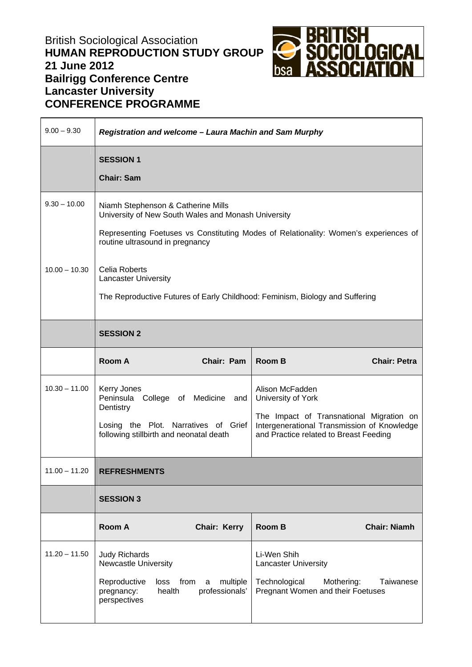## British Sociological Association **HUMAN REPRODUCTION STUDY GROUP 21 June 2012 Bailrigg Conference Centre Lancaster University CONFERENCE PROGRAMME**



| $9.00 - 9.30$   | Registration and welcome - Laura Machin and Sam Murphy                                                                                                                                                               |                                 |                                                                                                                                                                            |                     |  |
|-----------------|----------------------------------------------------------------------------------------------------------------------------------------------------------------------------------------------------------------------|---------------------------------|----------------------------------------------------------------------------------------------------------------------------------------------------------------------------|---------------------|--|
|                 | <b>SESSION 1</b><br><b>Chair: Sam</b>                                                                                                                                                                                |                                 |                                                                                                                                                                            |                     |  |
| $9.30 - 10.00$  | Niamh Stephenson & Catherine Mills<br>University of New South Wales and Monash University<br>Representing Foetuses vs Constituting Modes of Relationality: Women's experiences of<br>routine ultrasound in pregnancy |                                 |                                                                                                                                                                            |                     |  |
| $10.00 - 10.30$ | <b>Celia Roberts</b><br><b>Lancaster University</b><br>The Reproductive Futures of Early Childhood: Feminism, Biology and Suffering                                                                                  |                                 |                                                                                                                                                                            |                     |  |
|                 | <b>SESSION 2</b>                                                                                                                                                                                                     |                                 |                                                                                                                                                                            |                     |  |
|                 | Room A                                                                                                                                                                                                               | Chair: Pam                      | <b>Room B</b>                                                                                                                                                              | <b>Chair: Petra</b> |  |
| $10.30 - 11.00$ | Kerry Jones<br>Peninsula<br>College of Medicine<br>Dentistry<br>Losing the Plot. Narratives of Grief<br>following stillbirth and neonatal death                                                                      | and                             | Alison McFadden<br>University of York<br>The Impact of Transnational Migration on<br>Intergenerational Transmission of Knowledge<br>and Practice related to Breast Feeding |                     |  |
| $11.00 - 11.20$ | <b>REFRESHMENTS</b>                                                                                                                                                                                                  |                                 |                                                                                                                                                                            |                     |  |
|                 | <b>SESSION 3</b>                                                                                                                                                                                                     |                                 |                                                                                                                                                                            |                     |  |
|                 | <b>Room A</b>                                                                                                                                                                                                        | <b>Chair: Kerry</b>             | <b>Room B</b>                                                                                                                                                              | <b>Chair: Niamh</b> |  |
| $11.20 - 11.50$ | <b>Judy Richards</b><br><b>Newcastle University</b><br>Reproductive<br>loss<br>from<br>health<br>pregnancy:<br>perspectives                                                                                          | multiple<br>a<br>professionals' | Li-Wen Shih<br><b>Lancaster University</b><br>Technological<br>Mothering:<br>Pregnant Women and their Foetuses                                                             | Taiwanese           |  |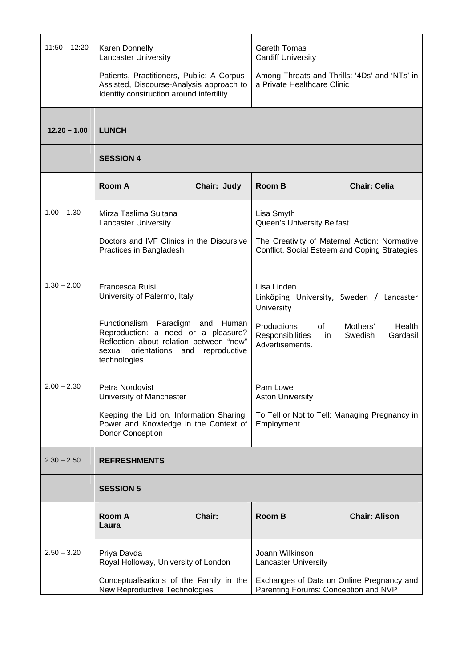| $11:50 - 12:20$ | Karen Donnelly<br><b>Lancaster University</b>                                                                                                                                    | <b>Gareth Tomas</b><br><b>Cardiff University</b>                                                                                                                                                                         |  |  |  |
|-----------------|----------------------------------------------------------------------------------------------------------------------------------------------------------------------------------|--------------------------------------------------------------------------------------------------------------------------------------------------------------------------------------------------------------------------|--|--|--|
|                 | Patients, Practitioners, Public: A Corpus-<br>Assisted, Discourse-Analysis approach to<br>Identity construction around infertility                                               | Among Threats and Thrills: '4Ds' and 'NTs' in<br>a Private Healthcare Clinic                                                                                                                                             |  |  |  |
| $12.20 - 1.00$  | <b>LUNCH</b>                                                                                                                                                                     |                                                                                                                                                                                                                          |  |  |  |
|                 | <b>SESSION 4</b>                                                                                                                                                                 |                                                                                                                                                                                                                          |  |  |  |
|                 | Room A<br>Chair: Judy                                                                                                                                                            | <b>Room B</b><br><b>Chair: Celia</b>                                                                                                                                                                                     |  |  |  |
| $1.00 - 1.30$   | Mirza Taslima Sultana<br>Lancaster University                                                                                                                                    | Lisa Smyth<br>Queen's University Belfast                                                                                                                                                                                 |  |  |  |
|                 | Doctors and IVF Clinics in the Discursive<br>Practices in Bangladesh                                                                                                             | The Creativity of Maternal Action: Normative<br>Conflict, Social Esteem and Coping Strategies                                                                                                                            |  |  |  |
| $1.30 - 2.00$   | <b>Francesca Ruisi</b><br>University of Palermo, Italy                                                                                                                           | Lisa Linden<br>Linköping University, Sweden / Lancaster<br>University                                                                                                                                                    |  |  |  |
|                 | Functionalism Paradigm and Human<br>Reproduction: a need or a pleasure?<br>Reflection about relation between "new"<br>sexual orientations<br>reproductive<br>and<br>technologies | Mothers'<br>Productions<br>of the set of the set of the set of the set of the set of the set of the set of the set of the set of the set o<br>Health<br>Swedish<br>Gardasil<br>Responsibilities<br>in<br>Advertisements. |  |  |  |
| $2.00 - 2.30$   | Petra Nordqvist<br>University of Manchester                                                                                                                                      | Pam Lowe<br><b>Aston University</b>                                                                                                                                                                                      |  |  |  |
|                 | Keeping the Lid on. Information Sharing,<br>Power and Knowledge in the Context of<br>Donor Conception                                                                            | To Tell or Not to Tell: Managing Pregnancy in<br>Employment                                                                                                                                                              |  |  |  |
| $2.30 - 2.50$   | <b>REFRESHMENTS</b>                                                                                                                                                              |                                                                                                                                                                                                                          |  |  |  |
|                 | <b>SESSION 5</b>                                                                                                                                                                 |                                                                                                                                                                                                                          |  |  |  |
|                 | Chair:<br><b>Room A</b><br>Laura                                                                                                                                                 | <b>Chair: Alison</b><br><b>Room B</b>                                                                                                                                                                                    |  |  |  |
| $2.50 - 3.20$   | Priya Davda<br>Royal Holloway, University of London                                                                                                                              | Joann Wilkinson<br><b>Lancaster University</b>                                                                                                                                                                           |  |  |  |
|                 | Conceptualisations of the Family in the<br>New Reproductive Technologies                                                                                                         | Exchanges of Data on Online Pregnancy and<br>Parenting Forums: Conception and NVP                                                                                                                                        |  |  |  |